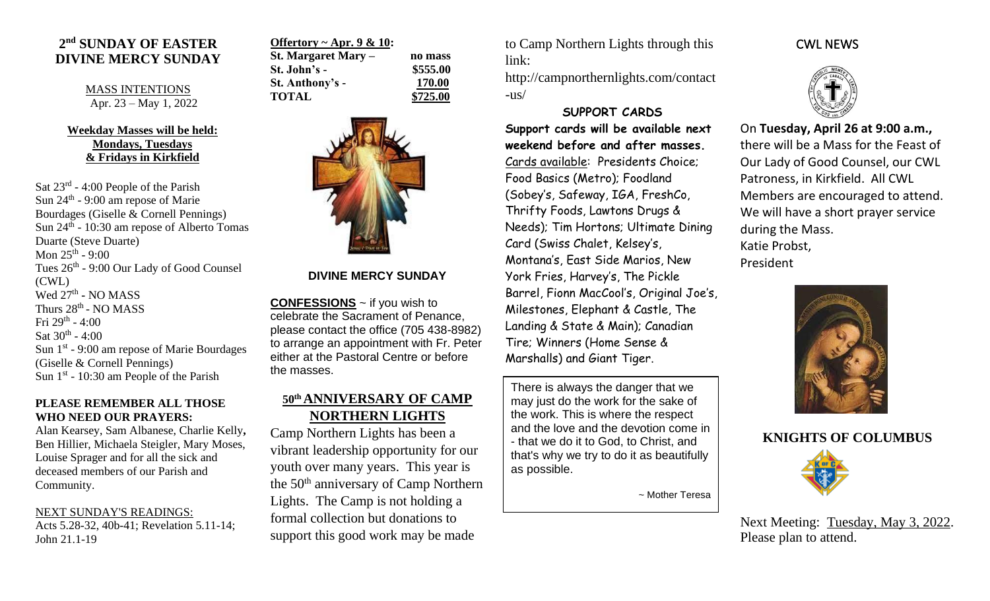## **2 nd SUNDAY OF EASTER DIVINE MERCY SUNDAY**

MASS INTENTIONS Apr. 23 – May 1, 2022

## **Weekday Masses will be held: Mondays, Tuesdays & Fridays in Kirkfield**

Sat 23<sup>rd</sup> - 4:00 People of the Parish Sun 24<sup>th</sup> - 9:00 am repose of Marie Bourdages (Giselle & Cornell Pennings) Sun 24<sup>th</sup> - 10:30 am repose of Alberto Tomas Duarte (Steve Duarte) Mon  $25^{\text{th}}$  - 9:00 Tues 26<sup>th</sup> - 9:00 Our Lady of Good Counsel (CWL) Wed 27<sup>th</sup> - NO MASS Thurs 28<sup>th</sup> - NO MASS Fri 29<sup>th</sup> - 4:00 Sat  $30^{\text{th}}$  - 4:00 Sun 1<sup>st</sup> - 9:00 am repose of Marie Bourdages (Giselle & Cornell Pennings) Sun  $1<sup>st</sup>$  - 10:30 am People of the Parish

#### **PLEASE REMEMBER ALL THOSE WHO NEED OUR PRAYERS:**

Alan Kearsey, Sam Albanese, Charlie Kelly**,**  Ben Hillier, Michaela Steigler, Mary Moses, Louise Sprager and for all the sick and deceased members of our Parish and Community.

NEXT SUNDAY'S READINGS: Acts 5.28-32, 40b-41; Revelation 5.11-14; John 21.1-19

| Offertory ~ Apr. 9 & 10: |          |
|--------------------------|----------|
| St. Margaret Mary –      | no mass  |
| St. John's -             | \$555.00 |
| St. Anthony's -          | 170.00   |
| <b>TOTAL</b>             | \$725.00 |



### **DIVINE MERCY SUNDAY**

**CONFESSIONS** ~ if you wish to celebrate the Sacrament of Penance, please contact the office (705 438-8982) to arrange an appointment with Fr. Peter either at the Pastoral Centre or before the masses.

# **50th ANNIVERSARY OF CAMP NORTHERN LIGHTS**

Camp Northern Lights has been a vibrant leadership opportunity for our youth over many years. This year is the 50<sup>th</sup> anniversary of Camp Northern Lights. The Camp is not holding a formal collection but donations to support this good work may be made

to Camp Northern Lights through this link:

http://campnorthernlights.com/contact  $-l$ us/

## **SUPPORT CARDS**

**Support cards will be available next weekend before and after masses.**  Cards available: Presidents Choice; Food Basics (Metro); Foodland (Sobey's, Safeway, IGA, FreshCo, Thrifty Foods, Lawtons Drugs & Needs); Tim Hortons; Ultimate Dining Card (Swiss Chalet, Kelsey's, Montana's, East Side Marios, New York Fries, Harvey's, The Pickle Barrel, Fionn MacCool's, Original Joe's, Milestones, Elephant & Castle, The Landing & State & Main); Canadian Tire; Winners (Home Sense & Marshalls) and Giant Tiger.

There is always the danger that we may just do the work for the sake of the work. This is where the respect and the love and the devotion come in - that we do it to God, to Christ, and that's why we try to do it as beautifully as possible.

~ Mother Teresa

## CWL NEWS



On **Tuesday, April 26 at 9:00 a.m.,** there will be a Mass for the Feast of Our Lady of Good Counsel, our CWL Patroness, in Kirkfield. All CWL Members are encouraged to attend. We will have a short prayer service during the Mass. Katie Probst, President



# **KNIGHTS OF COLUMBUS**



Next Meeting: Tuesday, May 3, 2022. Please plan to attend.